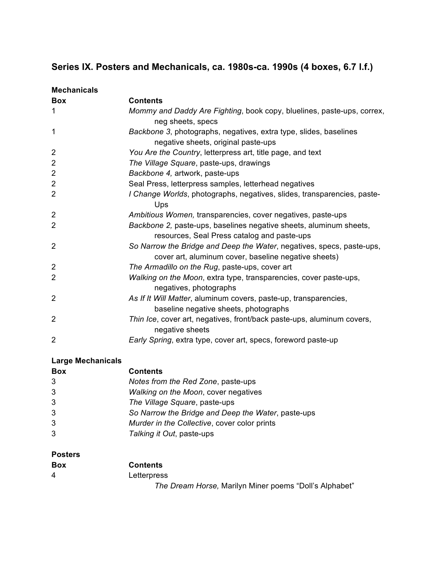## **Series IX. Posters and Mechanicals, ca. 1980s-ca. 1990s (4 boxes, 6.7 l.f.)**

| <b>Mechanicals</b> |                                                                                                                               |
|--------------------|-------------------------------------------------------------------------------------------------------------------------------|
| <b>Box</b>         | <b>Contents</b>                                                                                                               |
| 1                  | Mommy and Daddy Are Fighting, book copy, bluelines, paste-ups, correx,<br>neg sheets, specs                                   |
| 1                  | Backbone 3, photographs, negatives, extra type, slides, baselines<br>negative sheets, original paste-ups                      |
| 2                  | You Are the Country, letterpress art, title page, and text                                                                    |
| $\overline{2}$     | The Village Square, paste-ups, drawings                                                                                       |
| $\overline{2}$     | Backbone 4, artwork, paste-ups                                                                                                |
| $\overline{2}$     | Seal Press, letterpress samples, letterhead negatives                                                                         |
| 2                  | I Change Worlds, photographs, negatives, slides, transparencies, paste-<br>Ups                                                |
| 2                  | Ambitious Women, transparencies, cover negatives, paste-ups                                                                   |
| 2                  | Backbone 2, paste-ups, baselines negative sheets, aluminum sheets,<br>resources, Seal Press catalog and paste-ups             |
| $\overline{2}$     | So Narrow the Bridge and Deep the Water, negatives, specs, paste-ups,<br>cover art, aluminum cover, baseline negative sheets) |
| $\overline{2}$     | The Armadillo on the Rug, paste-ups, cover art                                                                                |
| $\overline{2}$     | Walking on the Moon, extra type, transparencies, cover paste-ups,<br>negatives, photographs                                   |
| 2                  | As If It Will Matter, aluminum covers, paste-up, transparencies,<br>baseline negative sheets, photographs                     |
| $\overline{2}$     | Thin Ice, cover art, negatives, front/back paste-ups, aluminum covers,<br>negative sheets                                     |
| $\overline{2}$     | Early Spring, extra type, cover art, specs, foreword paste-up                                                                 |

## **Large Mechanicals**

| <b>Box</b> | <b>Contents</b>                                    |
|------------|----------------------------------------------------|
| 3          | Notes from the Red Zone, paste-ups                 |
| 3          | Walking on the Moon, cover negatives               |
| 3          | The Village Square, paste-ups                      |
| 3          | So Narrow the Bridge and Deep the Water, paste-ups |
| 3          | Murder in the Collective, cover color prints       |
| 3          | Talking it Out, paste-ups                          |

## **Posters**

| <b>Box</b> | Contents                                               |
|------------|--------------------------------------------------------|
| 4          | Letterpress                                            |
|            | The Dream Horse, Marilyn Miner poems "Doll's Alphabet" |